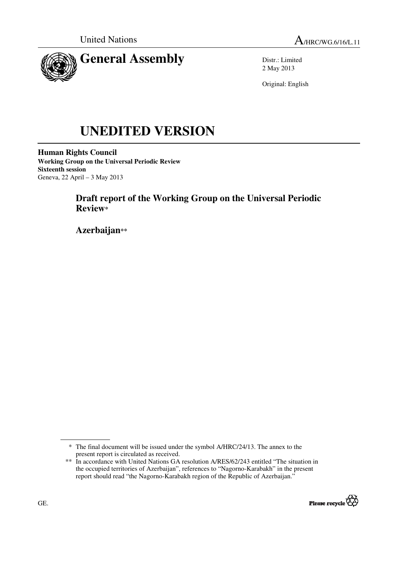



Distr.: Limited 2 May 2013

Original: English

# **UNEDITED VERSION**

**Human Rights Council Working Group on the Universal Periodic Review Sixteenth session**  Geneva, 22 April – 3 May 2013

# **Draft report of the Working Group on the Universal Periodic Review\***

 **Azerbaijan\*\***

<sup>\*\*</sup> In accordance with United Nations GA resolution A/RES/62/243 entitled "The situation in the occupied territories of Azerbaijan", references to "Nagorno-Karabakh" in the present report should read "the Nagorno-Karabakh region of the Republic of Azerbaijan."



<sup>\*</sup> The final document will be issued under the symbol A/HRC/24/13. The annex to the present report is circulated as received.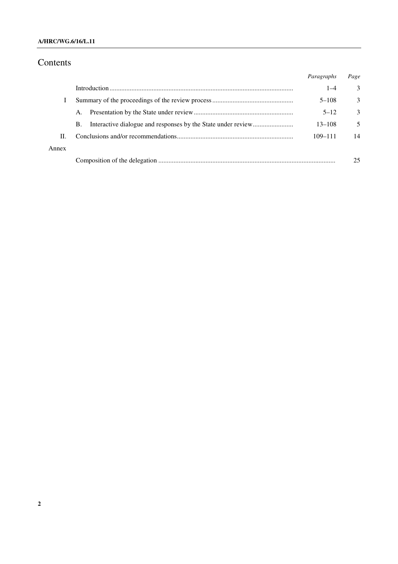## **A/HRC/WG.6/16/L.11**

# Contents

|       |    | Paragraphs  | Page          |
|-------|----|-------------|---------------|
|       |    | $1 - 4$     | 3             |
|       |    | $5 - 108$   | $\mathcal{E}$ |
|       | A. | $5 - 12$    | 3             |
|       | B. | $13 - 108$  | 5             |
| П.    |    | $109 - 111$ | 14            |
| Annex |    |             |               |
|       |    |             | 25            |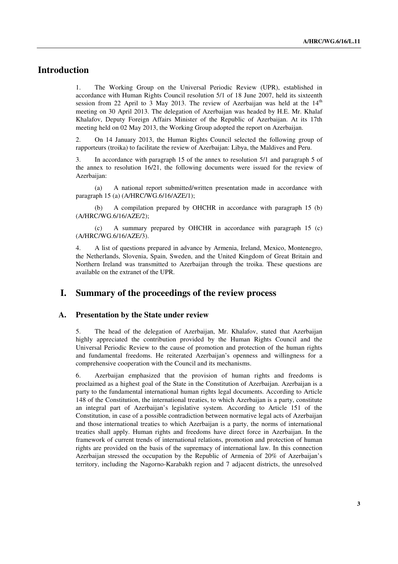## **Introduction**

1. The Working Group on the Universal Periodic Review (UPR), established in accordance with Human Rights Council resolution 5/1 of 18 June 2007, held its sixteenth session from 22 April to 3 May 2013. The review of Azerbaijan was held at the  $14<sup>th</sup>$ meeting on 30 April 2013. The delegation of Azerbaijan was headed by H.E. Mr. Khalaf Khalafov, Deputy Foreign Affairs Minister of the Republic of Azerbaijan. At its 17th meeting held on 02 May 2013, the Working Group adopted the report on Azerbaijan.

2. On 14 January 2013, the Human Rights Council selected the following group of rapporteurs (troika) to facilitate the review of Azerbaijan: Libya, the Maldives and Peru.

3. In accordance with paragraph 15 of the annex to resolution 5/1 and paragraph 5 of the annex to resolution 16/21, the following documents were issued for the review of Azerbaijan:

 (a) A national report submitted/written presentation made in accordance with paragraph 15 (a) (A/HRC/WG.6/16/AZE/1);

 (b) A compilation prepared by OHCHR in accordance with paragraph 15 (b) (A/HRC/WG.6/16/AZE/2);

 (c) A summary prepared by OHCHR in accordance with paragraph 15 (c) (A/HRC/WG.6/16/AZE/3).

4. A list of questions prepared in advance by Armenia, Ireland, Mexico, Montenegro, the Netherlands, Slovenia, Spain, Sweden, and the United Kingdom of Great Britain and Northern Ireland was transmitted to Azerbaijan through the troika. These questions are available on the extranet of the UPR.

## **I. Summary of the proceedings of the review process**

### **A. Presentation by the State under review**

5. The head of the delegation of Azerbaijan, Mr. Khalafov, stated that Azerbaijan highly appreciated the contribution provided by the Human Rights Council and the Universal Periodic Review to the cause of promotion and protection of the human rights and fundamental freedoms. He reiterated Azerbaijan's openness and willingness for a comprehensive cooperation with the Council and its mechanisms.

6. Azerbaijan emphasized that the provision of human rights and freedoms is proclaimed as a highest goal of the State in the Constitution of Azerbaijan. Azerbaijan is a party to the fundamental international human rights legal documents. According to Article 148 of the Constitution, the international treaties, to which Azerbaijan is a party, constitute an integral part of Azerbaijan's legislative system. According to Article 151 of the Constitution, in case of a possible contradiction between normative legal acts of Azerbaijan and those international treaties to which Azerbaijan is a party, the norms of international treaties shall apply. Human rights and freedoms have direct force in Azerbaijan. In the framework of current trends of international relations, promotion and protection of human rights are provided on the basis of the supremacy of international law. In this connection Azerbaijan stressed the occupation by the Republic of Armenia of 20% of Azerbaijan's territory, including the Nagorno-Karabakh region and 7 adjacent districts, the unresolved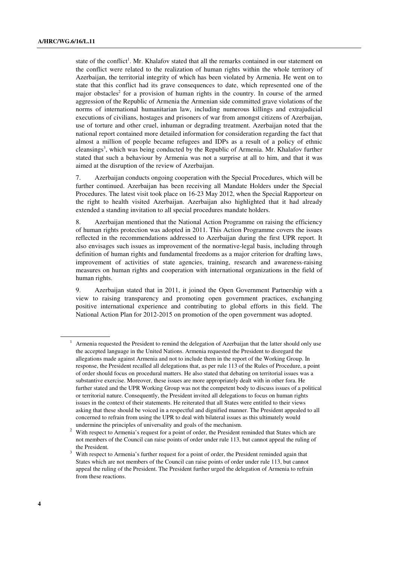state of the conflict<sup>1</sup>. Mr. Khalafov stated that all the remarks contained in our statement on the conflict were related to the realization of human rights within the whole territory of Azerbaijan, the territorial integrity of which has been violated by Armenia. He went on to state that this conflict had its grave consequences to date, which represented one of the major obstacles<sup>2</sup> for a provision of human rights in the country. In course of the armed aggression of the Republic of Armenia the Armenian side committed grave violations of the norms of international humanitarian law, including numerous killings and extrajudicial executions of civilians, hostages and prisoners of war from amongst citizens of Azerbaijan, use of torture and other cruel, inhuman or degrading treatment. Azerbaijan noted that the national report contained more detailed information for consideration regarding the fact that almost a million of people became refugees and IDPs as a result of a policy of ethnic cleansings<sup>3</sup>, which was being conducted by the Republic of Armenia. Mr. Khalafov further stated that such a behaviour by Armenia was not a surprise at all to him, and that it was aimed at the disruption of the review of Azerbaijan.

7. Azerbaijan conducts ongoing cooperation with the Special Procedures, which will be further continued. Azerbaijan has been receiving all Mandate Holders under the Special Procedures. The latest visit took place on 16-23 May 2012, when the Special Rapporteur on the right to health visited Azerbaijan. Azerbaijan also highlighted that it had already extended a standing invitation to all special procedures mandate holders.

8. Azerbaijan mentioned that the National Action Programme on raising the efficiency of human rights protection was adopted in 2011. This Action Programme covers the issues reflected in the recommendations addressed to Azerbaijan during the first UPR report. It also envisages such issues as improvement of the normative-legal basis, including through definition of human rights and fundamental freedoms as a major criterion for drafting laws, improvement of activities of state agencies, training, research and awareness-raising measures on human rights and cooperation with international organizations in the field of human rights.

9. Azerbaijan stated that in 2011, it joined the Open Government Partnership with a view to raising transparency and promoting open government practices, exchanging positive international experience and contributing to global efforts in this field. The National Action Plan for 2012-2015 on promotion of the open government was adopted.

<sup>1</sup> Armenia requested the President to remind the delegation of Azerbaijan that the latter should only use the accepted language in the United Nations. Armenia requested the President to disregard the allegations made against Armenia and not to include them in the report of the Working Group. In response, the President recalled all delegations that, as per rule 113 of the Rules of Procedure, a point of order should focus on procedural matters. He also stated that debating on territorial issues was a substantive exercise. Moreover, these issues are more appropriately dealt with in other fora. He further stated and the UPR Working Group was not the competent body to discuss issues of a political or territorial nature. Consequently, the President invited all delegations to focus on human rights issues in the context of their statements. He reiterated that all States were entitled to their views asking that these should be voiced in a respectful and dignified manner. The President appealed to all concerned to refrain from using the UPR to deal with bilateral issues as this ultimately would undermine the principles of universality and goals of the mechanism.

<sup>2</sup> With respect to Armenia's request for a point of order, the President reminded that States which are not members of the Council can raise points of order under rule 113, but cannot appeal the ruling of the President.

<sup>&</sup>lt;sup>3</sup> With respect to Armenia's further request for a point of order, the President reminded again that States which are not members of the Council can raise points of order under rule 113, but cannot appeal the ruling of the President. The President further urged the delegation of Armenia to refrain from these reactions.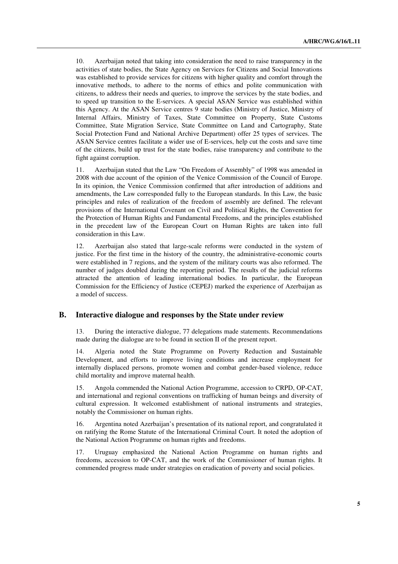10. Azerbaijan noted that taking into consideration the need to raise transparency in the activities of state bodies, the State Agency on Services for Citizens and Social Innovations was established to provide services for citizens with higher quality and comfort through the innovative methods, to adhere to the norms of ethics and polite communication with citizens, to address their needs and queries, to improve the services by the state bodies, and to speed up transition to the E-services. A special ASAN Service was established within this Agency. At the ASAN Service centres 9 state bodies (Ministry of Justice, Ministry of Internal Affairs, Ministry of Taxes, State Committee on Property, State Customs Committee, State Migration Service, State Committee on Land and Cartography, State Social Protection Fund and National Archive Department) offer 25 types of services. The ASAN Service centres facilitate a wider use of E-services, help cut the costs and save time of the citizens, build up trust for the state bodies, raise transparency and contribute to the fight against corruption.

11. Azerbaijan stated that the Law "On Freedom of Assembly" of 1998 was amended in 2008 with due account of the opinion of the Venice Commission of the Council of Europe. In its opinion, the Venice Commission confirmed that after introduction of additions and amendments, the Law corresponded fully to the European standards. In this Law, the basic principles and rules of realization of the freedom of assembly are defined. The relevant provisions of the International Covenant on Civil and Political Rights, the Convention for the Protection of Human Rights and Fundamental Freedoms, and the principles established in the precedent law of the European Court on Human Rights are taken into full consideration in this Law.

12. Azerbaijan also stated that large-scale reforms were conducted in the system of justice. For the first time in the history of the country, the administrative-economic courts were established in 7 regions, and the system of the military courts was also reformed. The number of judges doubled during the reporting period. The results of the judicial reforms attracted the attention of leading international bodies. In particular, the European Commission for the Efficiency of Justice (CEPEJ) marked the experience of Azerbaijan as a model of success.

### **B. Interactive dialogue and responses by the State under review**

13. During the interactive dialogue, 77 delegations made statements. Recommendations made during the dialogue are to be found in section II of the present report.

14. Algeria noted the State Programme on Poverty Reduction and Sustainable Development, and efforts to improve living conditions and increase employment for internally displaced persons, promote women and combat gender-based violence, reduce child mortality and improve maternal health.

15. Angola commended the National Action Programme, accession to CRPD, OP-CAT, and international and regional conventions on trafficking of human beings and diversity of cultural expression. It welcomed establishment of national instruments and strategies, notably the Commissioner on human rights.

16. Argentina noted Azerbaijan's presentation of its national report, and congratulated it on ratifying the Rome Statute of the International Criminal Court. It noted the adoption of the National Action Programme on human rights and freedoms.

17. Uruguay emphasized the National Action Programme on human rights and freedoms, accession to OP-CAT, and the work of the Commissioner of human rights. It commended progress made under strategies on eradication of poverty and social policies.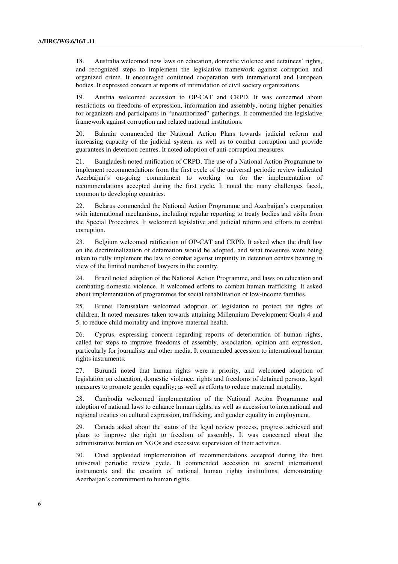18. Australia welcomed new laws on education, domestic violence and detainees' rights, and recognized steps to implement the legislative framework against corruption and organized crime. It encouraged continued cooperation with international and European bodies. It expressed concern at reports of intimidation of civil society organizations.

19. Austria welcomed accession to OP-CAT and CRPD. It was concerned about restrictions on freedoms of expression, information and assembly, noting higher penalties for organizers and participants in "unauthorized" gatherings. It commended the legislative framework against corruption and related national institutions.

20. Bahrain commended the National Action Plans towards judicial reform and increasing capacity of the judicial system, as well as to combat corruption and provide guarantees in detention centres. It noted adoption of anti-corruption measures.

21. Bangladesh noted ratification of CRPD. The use of a National Action Programme to implement recommendations from the first cycle of the universal periodic review indicated Azerbaijan's on-going commitment to working on for the implementation of recommendations accepted during the first cycle. It noted the many challenges faced, common to developing countries.

22. Belarus commended the National Action Programme and Azerbaijan's cooperation with international mechanisms, including regular reporting to treaty bodies and visits from the Special Procedures. It welcomed legislative and judicial reform and efforts to combat corruption.

23. Belgium welcomed ratification of OP-CAT and CRPD. It asked when the draft law on the decriminalization of defamation would be adopted, and what measures were being taken to fully implement the law to combat against impunity in detention centres bearing in view of the limited number of lawyers in the country.

24. Brazil noted adoption of the National Action Programme, and laws on education and combating domestic violence. It welcomed efforts to combat human trafficking. It asked about implementation of programmes for social rehabilitation of low-income families.

25. Brunei Darussalam welcomed adoption of legislation to protect the rights of children. It noted measures taken towards attaining Millennium Development Goals 4 and 5, to reduce child mortality and improve maternal health.

26. Cyprus, expressing concern regarding reports of deterioration of human rights, called for steps to improve freedoms of assembly, association, opinion and expression, particularly for journalists and other media. It commended accession to international human rights instruments.

27. Burundi noted that human rights were a priority, and welcomed adoption of legislation on education, domestic violence, rights and freedoms of detained persons, legal measures to promote gender equality; as well as efforts to reduce maternal mortality.

28. Cambodia welcomed implementation of the National Action Programme and adoption of national laws to enhance human rights, as well as accession to international and regional treaties on cultural expression, trafficking, and gender equality in employment.

29. Canada asked about the status of the legal review process, progress achieved and plans to improve the right to freedom of assembly. It was concerned about the administrative burden on NGOs and excessive supervision of their activities.

30. Chad applauded implementation of recommendations accepted during the first universal periodic review cycle. It commended accession to several international instruments and the creation of national human rights institutions, demonstrating Azerbaijan's commitment to human rights.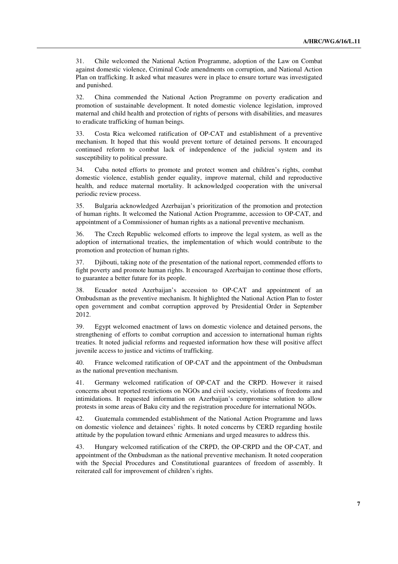31. Chile welcomed the National Action Programme, adoption of the Law on Combat against domestic violence, Criminal Code amendments on corruption, and National Action Plan on trafficking. It asked what measures were in place to ensure torture was investigated and punished.

32. China commended the National Action Programme on poverty eradication and promotion of sustainable development. It noted domestic violence legislation, improved maternal and child health and protection of rights of persons with disabilities, and measures to eradicate trafficking of human beings.

33. Costa Rica welcomed ratification of OP-CAT and establishment of a preventive mechanism. It hoped that this would prevent torture of detained persons. It encouraged continued reform to combat lack of independence of the judicial system and its susceptibility to political pressure.

34. Cuba noted efforts to promote and protect women and children's rights, combat domestic violence, establish gender equality, improve maternal, child and reproductive health, and reduce maternal mortality. It acknowledged cooperation with the universal periodic review process.

35. Bulgaria acknowledged Azerbaijan's prioritization of the promotion and protection of human rights. It welcomed the National Action Programme, accession to OP-CAT, and appointment of a Commissioner of human rights as a national preventive mechanism.

36. The Czech Republic welcomed efforts to improve the legal system, as well as the adoption of international treaties, the implementation of which would contribute to the promotion and protection of human rights.

37. Djibouti, taking note of the presentation of the national report, commended efforts to fight poverty and promote human rights. It encouraged Azerbaijan to continue those efforts, to guarantee a better future for its people.

38. Ecuador noted Azerbaijan's accession to OP-CAT and appointment of an Ombudsman as the preventive mechanism. It highlighted the National Action Plan to foster open government and combat corruption approved by Presidential Order in September 2012.

39. Egypt welcomed enactment of laws on domestic violence and detained persons, the strengthening of efforts to combat corruption and accession to international human rights treaties. It noted judicial reforms and requested information how these will positive affect juvenile access to justice and victims of trafficking.

40. France welcomed ratification of OP-CAT and the appointment of the Ombudsman as the national prevention mechanism.

41. Germany welcomed ratification of OP-CAT and the CRPD. However it raised concerns about reported restrictions on NGOs and civil society, violations of freedoms and intimidations. It requested information on Azerbaijan's compromise solution to allow protests in some areas of Baku city and the registration procedure for international NGOs.

42. Guatemala commended establishment of the National Action Programme and laws on domestic violence and detainees' rights. It noted concerns by CERD regarding hostile attitude by the population toward ethnic Armenians and urged measures to address this.

43. Hungary welcomed ratification of the CRPD, the OP-CRPD and the OP-CAT, and appointment of the Ombudsman as the national preventive mechanism. It noted cooperation with the Special Procedures and Constitutional guarantees of freedom of assembly. It reiterated call for improvement of children's rights.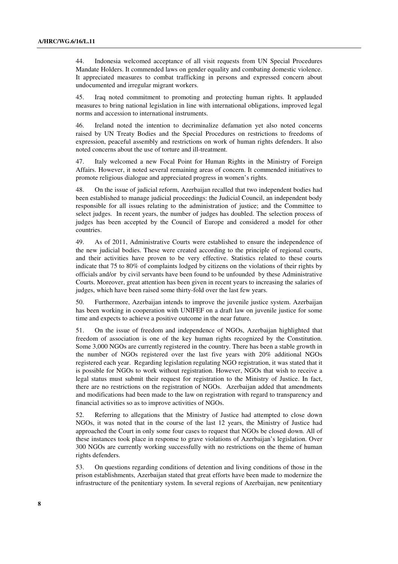44. Indonesia welcomed acceptance of all visit requests from UN Special Procedures Mandate Holders. It commended laws on gender equality and combating domestic violence. It appreciated measures to combat trafficking in persons and expressed concern about undocumented and irregular migrant workers.

45. Iraq noted commitment to promoting and protecting human rights. It applauded measures to bring national legislation in line with international obligations, improved legal norms and accession to international instruments.

46. Ireland noted the intention to decriminalize defamation yet also noted concerns raised by UN Treaty Bodies and the Special Procedures on restrictions to freedoms of expression, peaceful assembly and restrictions on work of human rights defenders. It also noted concerns about the use of torture and ill-treatment.

47. Italy welcomed a new Focal Point for Human Rights in the Ministry of Foreign Affairs. However, it noted several remaining areas of concern. It commended initiatives to promote religious dialogue and appreciated progress in women's rights.

48. On the issue of judicial reform, Azerbaijan recalled that two independent bodies had been established to manage judicial proceedings: the Judicial Council, an independent body responsible for all issues relating to the administration of justice; and the Committee to select judges. In recent years, the number of judges has doubled. The selection process of judges has been accepted by the Council of Europe and considered a model for other countries.

49. As of 2011, Administrative Courts were established to ensure the independence of the new judicial bodies. These were created according to the principle of regional courts, and their activities have proven to be very effective. Statistics related to these courts indicate that 75 to 80% of complaints lodged by citizens on the violations of their rights by officials and/or by civil servants have been found to be unfounded by these Administrative Courts. Moreover, great attention has been given in recent years to increasing the salaries of judges, which have been raised some thirty-fold over the last few years.

50. Furthermore, Azerbaijan intends to improve the juvenile justice system. Azerbaijan has been working in cooperation with UNIFEF on a draft law on juvenile justice for some time and expects to achieve a positive outcome in the near future.

51. On the issue of freedom and independence of NGOs, Azerbaijan highlighted that freedom of association is one of the key human rights recognized by the Constitution. Some 3,000 NGOs are currently registered in the country. There has been a stable growth in the number of NGOs registered over the last five years with 20% additional NGOs registered each year. Regarding legislation regulating NGO registration, it was stated that it is possible for NGOs to work without registration. However, NGOs that wish to receive a legal status must submit their request for registration to the Ministry of Justice. In fact, there are no restrictions on the registration of NGOs. Azerbaijan added that amendments and modifications had been made to the law on registration with regard to transparency and financial activities so as to improve activities of NGOs.

52. Referring to allegations that the Ministry of Justice had attempted to close down NGOs, it was noted that in the course of the last 12 years, the Ministry of Justice had approached the Court in only some four cases to request that NGOs be closed down. All of these instances took place in response to grave violations of Azerbaijan's legislation. Over 300 NGOs are currently working successfully with no restrictions on the theme of human rights defenders.

53. On questions regarding conditions of detention and living conditions of those in the prison establishments, Azerbaijan stated that great efforts have been made to modernize the infrastructure of the penitentiary system. In several regions of Azerbaijan, new penitentiary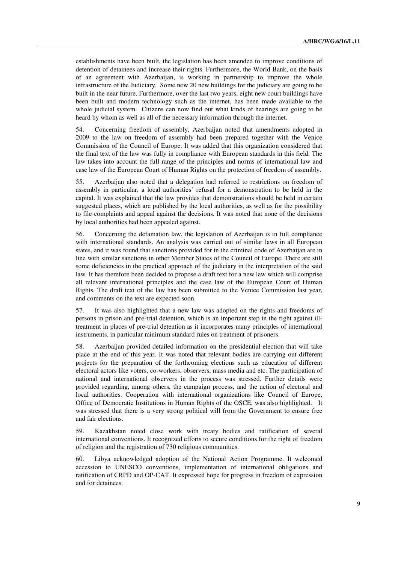establishments have been built, the legislation has been amended to improve conditions of detention of detainees and increase their rights. Furthermore, the World Bank, on the basis of an agreement with Azerbaijan, is working in partnership to improve the whole infrastructure of the Judiciary. Some new 20 new buildings for the judiciary are going to be built in the near future. Furthermore, over the last two years, eight new court buildings have been built and modern technology such as the internet, has been made available to the whole judicial system. Citizens can now find out what kinds of hearings are going to be heard by whom as well as all of the necessary information through the internet.

54. Concerning freedom of assembly, Azerbaijan noted that amendments adopted in 2009 to the law on freedom of assembly had been prepared together with the Venice Commission of the Council of Europe. It was added that this organization considered that the final text of the law was fully in compliance with European standards in this field. The law takes into account the full range of the principles and norms of international law and case law of the European Court of Human Rights on the protection of freedom of assembly.

55. Azerbaijan also noted that a delegation had referred to restrictions on freedom of assembly in particular, a local authorities' refusal for a demonstration to be held in the capital. It was explained that the law provides that demonstrations should be held in certain suggested places, which are published by the local authorities, as well as for the possibility to file complaints and appeal against the decisions. It was noted that none of the decisions by local authorities had been appealed against.

56. Concerning the defamation law, the legislation of Azerbaijan is in full compliance with international standards. An analysis was carried out of similar laws in all European states, and it was found that sanctions provided for in the criminal code of Azerbaijan are in line with similar sanctions in other Member States of the Council of Europe. There are still some deficiencies in the practical approach of the judiciary in the interpretation of the said law. It has therefore been decided to propose a draft text for a new law which will comprise all relevant international principles and the case law of the European Court of Human Rights. The draft text of the law has been submitted to the Venice Commission last year, and comments on the text are expected soon.

57. It was also highlighted that a new law was adopted on the rights and freedoms of persons in prison and pre-trial detention, which is an important step in the fight against illtreatment in places of pre-trial detention as it incorporates many principles of international instruments, in particular minimum standard rules on treatment of prisoners.

58. Azerbaijan provided detailed information on the presidential election that will take place at the end of this year. It was noted that relevant bodies are carrying out different projects for the preparation of the forthcoming elections such as education of different electoral actors like voters, co-workers, observers, mass media and etc. The participation of national and international observers in the process was stressed. Further details were provided regarding, among others, the campaign process, and the action of electoral and local authorities. Cooperation with international organizations like Council of Europe, Office of Democratic Institutions in Human Rights of the OSCE, was also highlighted. It was stressed that there is a very strong political will from the Government to ensure free and fair elections.

59. Kazakhstan noted close work with treaty bodies and ratification of several international conventions. It recognized efforts to secure conditions for the right of freedom of religion and the registration of 730 religious communities.

60. Libya acknowledged adoption of the National Action Programme. It welcomed accession to UNESCO conventions, implementation of international obligations and ratification of CRPD and OP-CAT. It expressed hope for progress in freedom of expression and for detainees.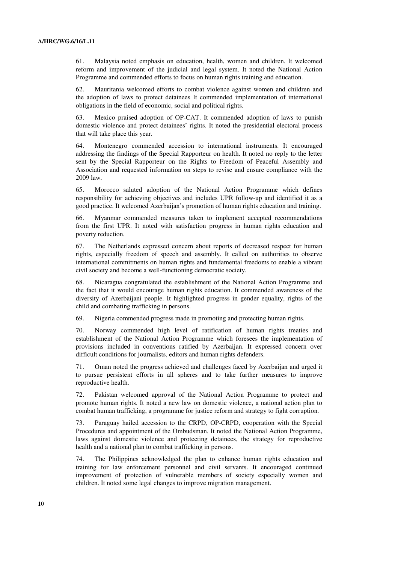61. Malaysia noted emphasis on education, health, women and children. It welcomed reform and improvement of the judicial and legal system. It noted the National Action Programme and commended efforts to focus on human rights training and education.

62. Mauritania welcomed efforts to combat violence against women and children and the adoption of laws to protect detainees It commended implementation of international obligations in the field of economic, social and political rights.

63. Mexico praised adoption of OP-CAT. It commended adoption of laws to punish domestic violence and protect detainees' rights. It noted the presidential electoral process that will take place this year.

64. Montenegro commended accession to international instruments. It encouraged addressing the findings of the Special Rapporteur on health. It noted no reply to the letter sent by the Special Rapporteur on the Rights to Freedom of Peaceful Assembly and Association and requested information on steps to revise and ensure compliance with the 2009 law.

65. Morocco saluted adoption of the National Action Programme which defines responsibility for achieving objectives and includes UPR follow-up and identified it as a good practice. It welcomed Azerbaijan's promotion of human rights education and training.

66. Myanmar commended measures taken to implement accepted recommendations from the first UPR. It noted with satisfaction progress in human rights education and poverty reduction.

67. The Netherlands expressed concern about reports of decreased respect for human rights, especially freedom of speech and assembly. It called on authorities to observe international commitments on human rights and fundamental freedoms to enable a vibrant civil society and become a well-functioning democratic society.

68. Nicaragua congratulated the establishment of the National Action Programme and the fact that it would encourage human rights education. It commended awareness of the diversity of Azerbaijani people. It highlighted progress in gender equality, rights of the child and combating trafficking in persons.

69. Nigeria commended progress made in promoting and protecting human rights.

70. Norway commended high level of ratification of human rights treaties and establishment of the National Action Programme which foresees the implementation of provisions included in conventions ratified by Azerbaijan. It expressed concern over difficult conditions for journalists, editors and human rights defenders.

71. Oman noted the progress achieved and challenges faced by Azerbaijan and urged it to pursue persistent efforts in all spheres and to take further measures to improve reproductive health.

72. Pakistan welcomed approval of the National Action Programme to protect and promote human rights. It noted a new law on domestic violence, a national action plan to combat human trafficking, a programme for justice reform and strategy to fight corruption.

73. Paraguay hailed accession to the CRPD, OP-CRPD, cooperation with the Special Procedures and appointment of the Ombudsman. It noted the National Action Programme, laws against domestic violence and protecting detainees, the strategy for reproductive health and a national plan to combat trafficking in persons.

74. The Philippines acknowledged the plan to enhance human rights education and training for law enforcement personnel and civil servants. It encouraged continued improvement of protection of vulnerable members of society especially women and children. It noted some legal changes to improve migration management.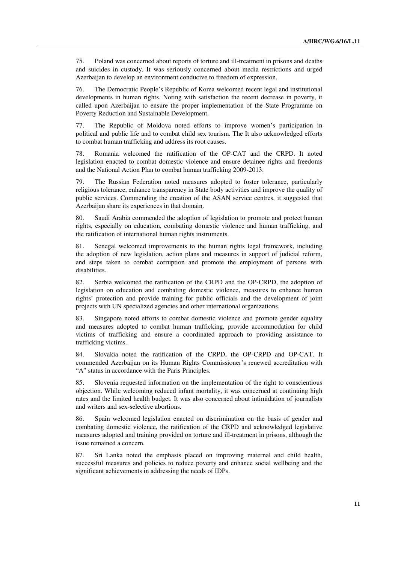75. Poland was concerned about reports of torture and ill-treatment in prisons and deaths and suicides in custody. It was seriously concerned about media restrictions and urged Azerbaijan to develop an environment conducive to freedom of expression.

76. The Democratic People's Republic of Korea welcomed recent legal and institutional developments in human rights. Noting with satisfaction the recent decrease in poverty, it called upon Azerbaijan to ensure the proper implementation of the State Programme on Poverty Reduction and Sustainable Development.

77. The Republic of Moldova noted efforts to improve women's participation in political and public life and to combat child sex tourism. The It also acknowledged efforts to combat human trafficking and address its root causes.

78. Romania welcomed the ratification of the OP-CAT and the CRPD. It noted legislation enacted to combat domestic violence and ensure detainee rights and freedoms and the National Action Plan to combat human trafficking 2009-2013.

79. The Russian Federation noted measures adopted to foster tolerance, particularly religious tolerance, enhance transparency in State body activities and improve the quality of public services. Commending the creation of the ASAN service centres, it suggested that Azerbaijan share its experiences in that domain.

80. Saudi Arabia commended the adoption of legislation to promote and protect human rights, especially on education, combating domestic violence and human trafficking, and the ratification of international human rights instruments.

81. Senegal welcomed improvements to the human rights legal framework, including the adoption of new legislation, action plans and measures in support of judicial reform, and steps taken to combat corruption and promote the employment of persons with disabilities.

82. Serbia welcomed the ratification of the CRPD and the OP-CRPD, the adoption of legislation on education and combating domestic violence, measures to enhance human rights' protection and provide training for public officials and the development of joint projects with UN specialized agencies and other international organizations.

83. Singapore noted efforts to combat domestic violence and promote gender equality and measures adopted to combat human trafficking, provide accommodation for child victims of trafficking and ensure a coordinated approach to providing assistance to trafficking victims.

84. Slovakia noted the ratification of the CRPD, the OP-CRPD and OP-CAT. It commended Azerbaijan on its Human Rights Commissioner's renewed accreditation with "A" status in accordance with the Paris Principles.

85. Slovenia requested information on the implementation of the right to conscientious objection. While welcoming reduced infant mortality, it was concerned at continuing high rates and the limited health budget. It was also concerned about intimidation of journalists and writers and sex-selective abortions.

86. Spain welcomed legislation enacted on discrimination on the basis of gender and combating domestic violence, the ratification of the CRPD and acknowledged legislative measures adopted and training provided on torture and ill-treatment in prisons, although the issue remained a concern.

87. Sri Lanka noted the emphasis placed on improving maternal and child health, successful measures and policies to reduce poverty and enhance social wellbeing and the significant achievements in addressing the needs of IDPs.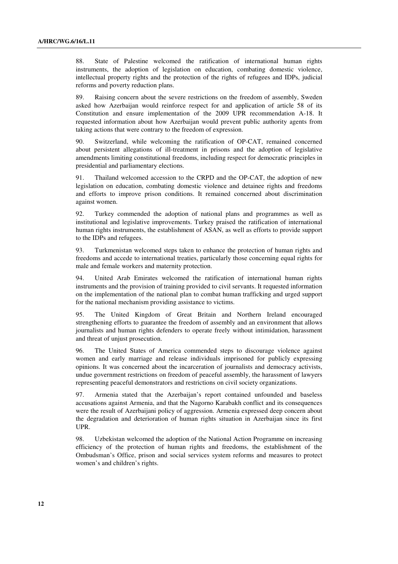88. State of Palestine welcomed the ratification of international human rights instruments, the adoption of legislation on education, combating domestic violence, intellectual property rights and the protection of the rights of refugees and IDPs, judicial reforms and poverty reduction plans.

89. Raising concern about the severe restrictions on the freedom of assembly, Sweden asked how Azerbaijan would reinforce respect for and application of article 58 of its Constitution and ensure implementation of the 2009 UPR recommendation A-18. It requested information about how Azerbaijan would prevent public authority agents from taking actions that were contrary to the freedom of expression.

90. Switzerland, while welcoming the ratification of OP-CAT, remained concerned about persistent allegations of ill-treatment in prisons and the adoption of legislative amendments limiting constitutional freedoms, including respect for democratic principles in presidential and parliamentary elections.

91. Thailand welcomed accession to the CRPD and the OP-CAT, the adoption of new legislation on education, combating domestic violence and detainee rights and freedoms and efforts to improve prison conditions. It remained concerned about discrimination against women.

92. Turkey commended the adoption of national plans and programmes as well as institutional and legislative improvements. Turkey praised the ratification of international human rights instruments, the establishment of ASAN, as well as efforts to provide support to the IDPs and refugees.

93. Turkmenistan welcomed steps taken to enhance the protection of human rights and freedoms and accede to international treaties, particularly those concerning equal rights for male and female workers and maternity protection.

94. United Arab Emirates welcomed the ratification of international human rights instruments and the provision of training provided to civil servants. It requested information on the implementation of the national plan to combat human trafficking and urged support for the national mechanism providing assistance to victims.

95. The United Kingdom of Great Britain and Northern Ireland encouraged strengthening efforts to guarantee the freedom of assembly and an environment that allows journalists and human rights defenders to operate freely without intimidation, harassment and threat of unjust prosecution.

96. The United States of America commended steps to discourage violence against women and early marriage and release individuals imprisoned for publicly expressing opinions. It was concerned about the incarceration of journalists and democracy activists, undue government restrictions on freedom of peaceful assembly, the harassment of lawyers representing peaceful demonstrators and restrictions on civil society organizations.

97. Armenia stated that the Azerbaijan's report contained unfounded and baseless accusations against Armenia, and that the Nagorno Karabakh conflict and its consequences were the result of Azerbaijani policy of aggression. Armenia expressed deep concern about the degradation and deterioration of human rights situation in Azerbaijan since its first UPR.

98. Uzbekistan welcomed the adoption of the National Action Programme on increasing efficiency of the protection of human rights and freedoms, the establishment of the Ombudsman's Office, prison and social services system reforms and measures to protect women's and children's rights.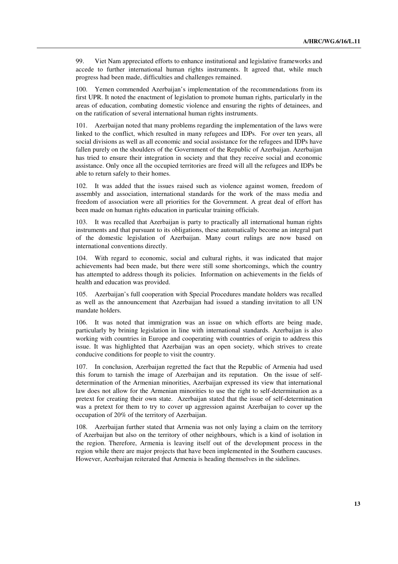99. Viet Nam appreciated efforts to enhance institutional and legislative frameworks and accede to further international human rights instruments. It agreed that, while much progress had been made, difficulties and challenges remained.

100. Yemen commended Azerbaijan's implementation of the recommendations from its first UPR. It noted the enactment of legislation to promote human rights, particularly in the areas of education, combating domestic violence and ensuring the rights of detainees, and on the ratification of several international human rights instruments.

101. Azerbaijan noted that many problems regarding the implementation of the laws were linked to the conflict, which resulted in many refugees and IDPs. For over ten years, all social divisions as well as all economic and social assistance for the refugees and IDPs have fallen purely on the shoulders of the Government of the Republic of Azerbaijan. Azerbaijan has tried to ensure their integration in society and that they receive social and economic assistance. Only once all the occupied territories are freed will all the refugees and IDPs be able to return safely to their homes.

102. It was added that the issues raised such as violence against women, freedom of assembly and association, international standards for the work of the mass media and freedom of association were all priorities for the Government. A great deal of effort has been made on human rights education in particular training officials.

103. It was recalled that Azerbaijan is party to practically all international human rights instruments and that pursuant to its obligations, these automatically become an integral part of the domestic legislation of Azerbaijan. Many court rulings are now based on international conventions directly.

104. With regard to economic, social and cultural rights, it was indicated that major achievements had been made, but there were still some shortcomings, which the country has attempted to address though its policies. Information on achievements in the fields of health and education was provided.

105. Azerbaijan's full cooperation with Special Procedures mandate holders was recalled as well as the announcement that Azerbaijan had issued a standing invitation to all UN mandate holders.

106. It was noted that immigration was an issue on which efforts are being made, particularly by brining legislation in line with international standards. Azerbaijan is also working with countries in Europe and cooperating with countries of origin to address this issue. It was highlighted that Azerbaijan was an open society, which strives to create conducive conditions for people to visit the country.

107. In conclusion, Azerbaijan regretted the fact that the Republic of Armenia had used this forum to tarnish the image of Azerbaijan and its reputation. On the issue of selfdetermination of the Armenian minorities, Azerbaijan expressed its view that international law does not allow for the Armenian minorities to use the right to self-determination as a pretext for creating their own state. Azerbaijan stated that the issue of self-determination was a pretext for them to try to cover up aggression against Azerbaijan to cover up the occupation of 20% of the territory of Azerbaijan.

108. Azerbaijan further stated that Armenia was not only laying a claim on the territory of Azerbaijan but also on the territory of other neighbours, which is a kind of isolation in the region. Therefore, Armenia is leaving itself out of the development process in the region while there are major projects that have been implemented in the Southern caucuses. However, Azerbaijan reiterated that Armenia is heading themselves in the sidelines.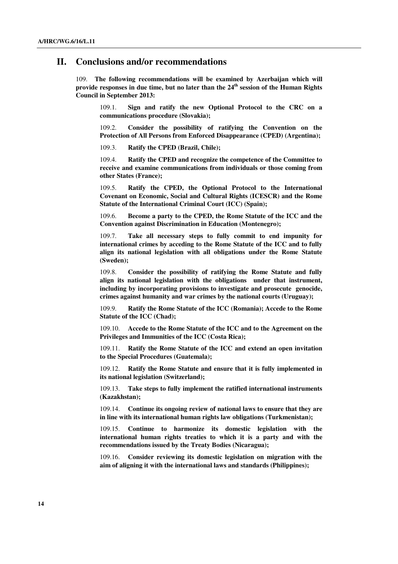## **II. Conclusions and/or recommendations**

109. **The following recommendations will be examined by Azerbaijan which will provide responses in due time, but no later than the 24th session of the Human Rights Council in September 2013:**

109.1. **Sign and ratify the new Optional Protocol to the CRC on a communications procedure (Slovakia);**

109.2. **Consider the possibility of ratifying the Convention on the Protection of All Persons from Enforced Disappearance (CPED) (Argentina);** 

109.3. **Ratify the CPED (Brazil, Chile);** 

109.4. **Ratify the CPED and recognize the competence of the Committee to receive and examine communications from individuals or those coming from other States (France);** 

109.5. **Ratify the CPED, the Optional Protocol to the International Covenant on Economic, Social and Cultural Rights (ICESCR) and the Rome Statute of the International Criminal Court (ICC) (Spain);** 

109.6. **Become a party to the CPED, the Rome Statute of the ICC and the Convention against Discrimination in Education (Montenegro);** 

109.7. **Take all necessary steps to fully commit to end impunity for international crimes by acceding to the Rome Statute of the ICC and to fully align its national legislation with all obligations under the Rome Statute (Sweden);** 

109.8. **Consider the possibility of ratifying the Rome Statute and fully align its national legislation with the obligations under that instrument, including by incorporating provisions to investigate and prosecute genocide, crimes against humanity and war crimes by the national courts (Uruguay);** 

109.9. **Ratify the Rome Statute of the ICC (Romania); Accede to the Rome Statute of the ICC (Chad);** 

109.10. **Accede to the Rome Statute of the ICC and to the Agreement on the Privileges and Immunities of the ICC (Costa Rica);** 

109.11. **Ratify the Rome Statute of the ICC and extend an open invitation to the Special Procedures (Guatemala);** 

109.12. **Ratify the Rome Statute and ensure that it is fully implemented in its national legislation (Switzerland);** 

109.13. **Take steps to fully implement the ratified international instruments (Kazakhstan);** 

109.14. **Continue its ongoing review of national laws to ensure that they are in line with its international human rights law obligations (Turkmenistan);** 

109.15. **Continue to harmonize its domestic legislation with the international human rights treaties to which it is a party and with the recommendations issued by the Treaty Bodies (Nicaragua);** 

109.16. **Consider reviewing its domestic legislation on migration with the aim of aligning it with the international laws and standards (Philippines);**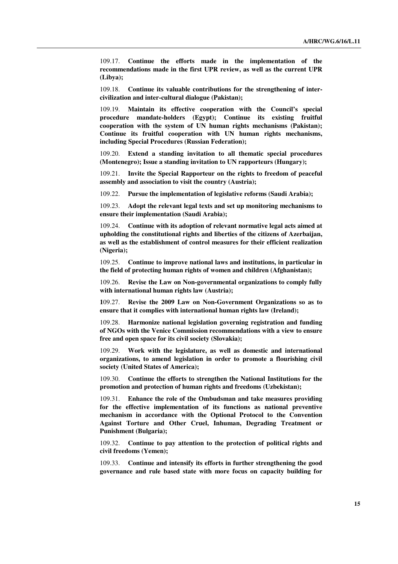109.17. **Continue the efforts made in the implementation of the recommendations made in the first UPR review, as well as the current UPR (Libya);** 

109.18. **Continue its valuable contributions for the strengthening of intercivilization and inter-cultural dialogue (Pakistan);** 

109.19. **Maintain its effective cooperation with the Council's special procedure mandate-holders (Egypt); Continue its existing fruitful cooperation with the system of UN human rights mechanisms (Pakistan); Continue its fruitful cooperation with UN human rights mechanisms, including Special Procedures (Russian Federation);** 

109.20. **Extend a standing invitation to all thematic special procedures (Montenegro); Issue a standing invitation to UN rapporteurs (Hungary);** 

109.21. **Invite the Special Rapporteur on the rights to freedom of peaceful assembly and association to visit the country (Austria);** 

109.22. **Pursue the implementation of legislative reforms (Saudi Arabia);** 

109.23. **Adopt the relevant legal texts and set up monitoring mechanisms to ensure their implementation (Saudi Arabia);** 

109.24. **Continue with its adoption of relevant normative legal acts aimed at upholding the constitutional rights and liberties of the citizens of Azerbaijan, as well as the establishment of control measures for their efficient realization (Nigeria);** 

109.25. **Continue to improve national laws and institutions, in particular in the field of protecting human rights of women and children (Afghanistan);** 

109.26. **Revise the Law on Non-governmental organizations to comply fully with international human rights law (Austria);** 

**1**09.27. **Revise the 2009 Law on Non-Government Organizations so as to ensure that it complies with international human rights law (Ireland);** 

109.28. **Harmonize national legislation governing registration and funding of NGOs with the Venice Commission recommendations with a view to ensure free and open space for its civil society (Slovakia);** 

109.29. **Work with the legislature, as well as domestic and international organizations, to amend legislation in order to promote a flourishing civil society (United States of America);** 

109.30. **Continue the efforts to strengthen the National Institutions for the promotion and protection of human rights and freedoms (Uzbekistan);** 

109.31. **Enhance the role of the Ombudsman and take measures providing for the effective implementation of its functions as national preventive mechanism in accordance with the Optional Protocol to the Convention Against Torture and Other Cruel, Inhuman, Degrading Treatment or Punishment (Bulgaria);** 

109.32. **Continue to pay attention to the protection of political rights and civil freedoms (Yemen);** 

109.33. **Continue and intensify its efforts in further strengthening the good governance and rule based state with more focus on capacity building for**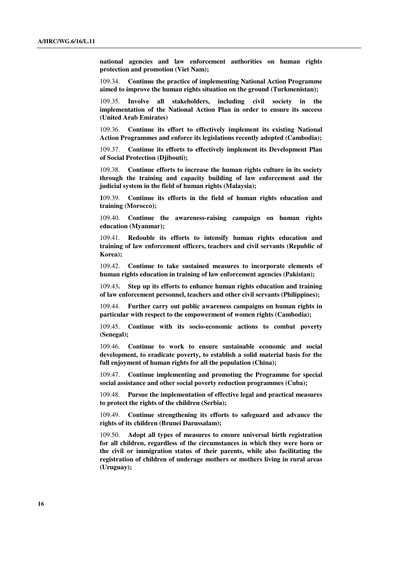**national agencies and law enforcement authorities on human rights protection and promotion (Viet Nam);** 

109.34. **Continue the practice of implementing National Action Programme aimed to improve the human rights situation on the ground (Turkmenistan);** 

Involve all stakeholders, including civil society in the **implementation of the National Action Plan in order to ensure its success (United Arab Emirates)** 

109.36. **Continue its effort to effectively implement its existing National Action Programmes and enforce its legislations recently adopted (Cambodia);** 

109.37. **Continue its efforts to effectively implement its Development Plan of Social Protection (Djibouti);** 

109.38. **Continue efforts to increase the human rights culture in its society through the training and capacity building of law enforcement and the judicial system in the field of human rights (Malaysia);** 

**1**09.39. **Continue its efforts in the field of human rights education and training (Morocco);** 

109.40. **Continue the awareness-raising campaign on human rights education (Myanmar);** 

109.41. **Redouble its efforts to intensify human rights education and training of law enforcement officers, teachers and civil servants (Republic of Korea);** 

109.42. **Continue to take sustained measures to incorporate elements of human rights education in training of law enforcement agencies (Pakistan);** 

109.43**. Step up its efforts to enhance human rights education and training of law enforcement personnel, teachers and other civil servants (Philippines);** 

109.44. **Further carry out public awareness campaigns on human rights in particular with respect to the empowerment of women rights (Cambodia);** 

109.45. **Continue with its socio-economic actions to combat poverty (Senegal);** 

109.46. **Continue to work to ensure sustainable economic and social development, to eradicate poverty, to establish a solid material basis for the full enjoyment of human rights for all the population (China);** 

109.47. **Continue implementing and promoting the Programme for special social assistance and other social poverty reduction programmes (Cuba);** 

109.48. **Pursue the implementation of effective legal and practical measures to protect the rights of the children (Serbia);** 

109.49. **Continue strengthening its efforts to safeguard and advance the rights of its children (Brunei Darussalam);** 

109.50. **Adopt all types of measures to ensure universal birth registration for all children, regardless of the circumstances in which they were born or the civil or immigration status of their parents, while also facilitating the registration of children of underage mothers or mothers living in rural areas (Uruguay);**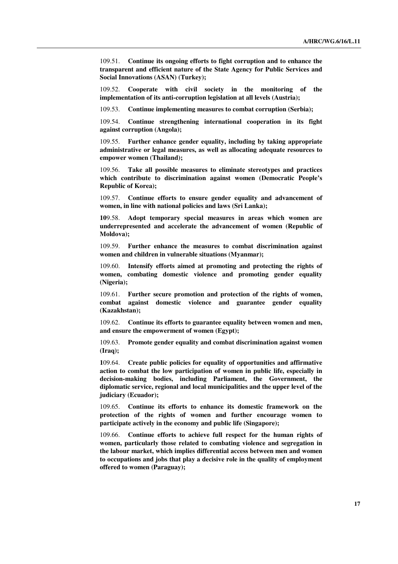109.51. **Continue its ongoing efforts to fight corruption and to enhance the transparent and efficient nature of the State Agency for Public Services and Social Innovations (ASAN) (Turkey);** 

109.52. **Cooperate with civil society in the monitoring of the implementation of its anti-corruption legislation at all levels (Austria);** 

109.53. **Continue implementing measures to combat corruption (Serbia);** 

109.54. **Continue strengthening international cooperation in its fight against corruption (Angola);** 

109.55. **Further enhance gender equality, including by taking appropriate administrative or legal measures, as well as allocating adequate resources to empower women (Thailand);** 

109.56. **Take all possible measures to eliminate stereotypes and practices which contribute to discrimination against women (Democratic People's Republic of Korea);** 

109.57. **Continue efforts to ensure gender equality and advancement of women, in line with national policies and laws (Sri Lanka);** 

**10**9.58. **Adopt temporary special measures in areas which women are underrepresented and accelerate the advancement of women (Republic of Moldova);** 

109.59. **Further enhance the measures to combat discrimination against women and children in vulnerable situations (Myanmar);** 

109.60. **Intensify efforts aimed at promoting and protecting the rights of women, combating domestic violence and promoting gender equality (Nigeria);** 

109.61. **Further secure promotion and protection of the rights of women, combat against domestic violence and guarantee gender equality (Kazakhstan);** 

109.62. **Continue its efforts to guarantee equality between women and men, and ensure the empowerment of women (Egypt);** 

109.63. **Promote gender equality and combat discrimination against women (Iraq);** 

**1**09.64. **Create public policies for equality of opportunities and affirmative action to combat the low participation of women in public life, especially in decision-making bodies, including Parliament, the Government, the diplomatic service, regional and local municipalities and the upper level of the judiciary (Ecuador);** 

109.65. **Continue its efforts to enhance its domestic framework on the protection of the rights of women and further encourage women to participate actively in the economy and public life (Singapore);** 

109.66. **Continue efforts to achieve full respect for the human rights of women, particularly those related to combating violence and segregation in the labour market, which implies differential access between men and women to occupations and jobs that play a decisive role in the quality of employment offered to women (Paraguay);**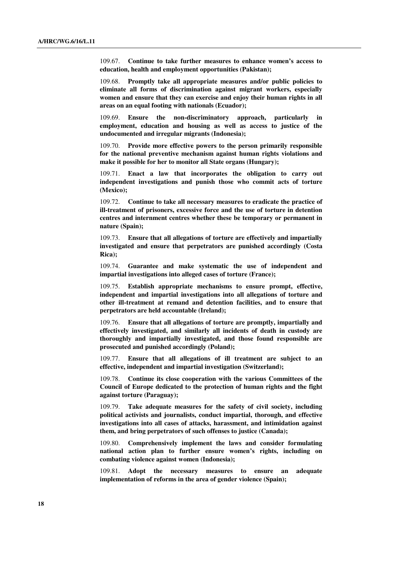109.67. **Continue to take further measures to enhance women's access to education, health and employment opportunities (Pakistan);** 

109.68. **Promptly take all appropriate measures and/or public policies to eliminate all forms of discrimination against migrant workers, especially women and ensure that they can exercise and enjoy their human rights in all areas on an equal footing with nationals (Ecuador);**

109.69. **Ensure the non-discriminatory approach, particularly in employment, education and housing as well as access to justice of the undocumented and irregular migrants (Indonesia);** 

109.70. **Provide more effective powers to the person primarily responsible for the national preventive mechanism against human rights violations and make it possible for her to monitor all State organs (Hungary);** 

109.71. **Enact a law that incorporates the obligation to carry out independent investigations and punish those who commit acts of torture (Mexico);** 

109.72. **Continue to take all necessary measures to eradicate the practice of ill-treatment of prisoners, excessive force and the use of torture in detention centres and internment centres whether these be temporary or permanent in nature (Spain);** 

109.73. **Ensure that all allegations of torture are effectively and impartially investigated and ensure that perpetrators are punished accordingly (Costa Rica);** 

109.74. **Guarantee and make systematic the use of independent and impartial investigations into alleged cases of torture (France);** 

109.75. **Establish appropriate mechanisms to ensure prompt, effective, independent and impartial investigations into all allegations of torture and other ill-treatment at remand and detention facilities, and to ensure that perpetrators are held accountable (Ireland);** 

109.76. **Ensure that all allegations of torture are promptly, impartially and effectively investigated, and similarly all incidents of death in custody are thoroughly and impartially investigated, and those found responsible are prosecuted and punished accordingly (Poland);** 

109.77. **Ensure that all allegations of ill treatment are subject to an effective, independent and impartial investigation (Switzerland);** 

109.78. **Continue its close cooperation with the various Committees of the Council of Europe dedicated to the protection of human rights and the fight against torture (Paraguay);** 

109.79. **Take adequate measures for the safety of civil society, including political activists and journalists, conduct impartial, thorough, and effective investigations into all cases of attacks, harassment, and intimidation against them, and bring perpetrators of such offenses to justice (Canada);** 

109.80. **Comprehensively implement the laws and consider formulating national action plan to further ensure women's rights, including on combating violence against women (Indonesia);** 

109.81. **Adopt the necessary measures to ensure an adequate implementation of reforms in the area of gender violence (Spain);**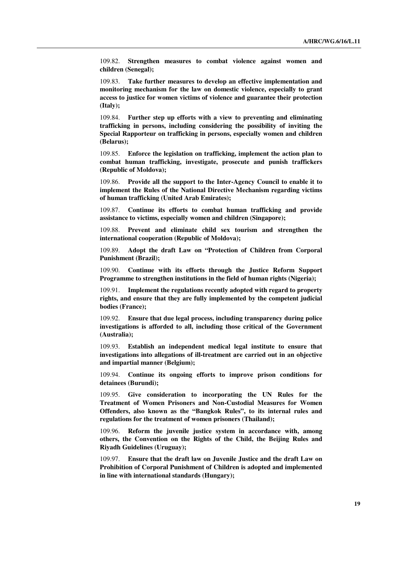109.82. **Strengthen measures to combat violence against women and children (Senegal);** 

109.83. **Take further measures to develop an effective implementation and monitoring mechanism for the law on domestic violence, especially to grant access to justice for women victims of violence and guarantee their protection (Italy);** 

109.84. **Further step up efforts with a view to preventing and eliminating trafficking in persons, including considering the possibility of inviting the Special Rapporteur on trafficking in persons, especially women and children (Belarus);** 

109.85. **Enforce the legislation on trafficking, implement the action plan to combat human trafficking, investigate, prosecute and punish traffickers (Republic of Moldova);** 

109.86. **Provide all the support to the Inter-Agency Council to enable it to implement the Rules of the National Directive Mechanism regarding victims of human trafficking (United Arab Emirates);** 

109.87. **Continue its efforts to combat human trafficking and provide assistance to victims, especially women and children (Singapore);** 

109.88. **Prevent and eliminate child sex tourism and strengthen the international cooperation (Republic of Moldova);** 

109.89. **Adopt the draft Law on "Protection of Children from Corporal Punishment (Brazil);** 

109.90. **Continue with its efforts through the Justice Reform Support Programme to strengthen institutions in the field of human rights (Nigeria);** 

109.91. **Implement the regulations recently adopted with regard to property rights, and ensure that they are fully implemented by the competent judicial bodies (France);** 

109.92. **Ensure that due legal process, including transparency during police investigations is afforded to all, including those critical of the Government (Australia);** 

109.93. **Establish an independent medical legal institute to ensure that investigations into allegations of ill-treatment are carried out in an objective and impartial manner (Belgium);** 

109.94. **Continue its ongoing efforts to improve prison conditions for detainees (Burundi);** 

109.95. **Give consideration to incorporating the UN Rules for the Treatment of Women Prisoners and Non-Custodial Measures for Women Offenders, also known as the "Bangkok Rules", to its internal rules and regulations for the treatment of women prisoners (Thailand);** 

109.96. **Reform the juvenile justice system in accordance with, among others, the Convention on the Rights of the Child, the Beijing Rules and Riyadh Guidelines (Uruguay);** 

109.97. **Ensure that the draft law on Juvenile Justice and the draft Law on Prohibition of Corporal Punishment of Children is adopted and implemented in line with international standards (Hungary);**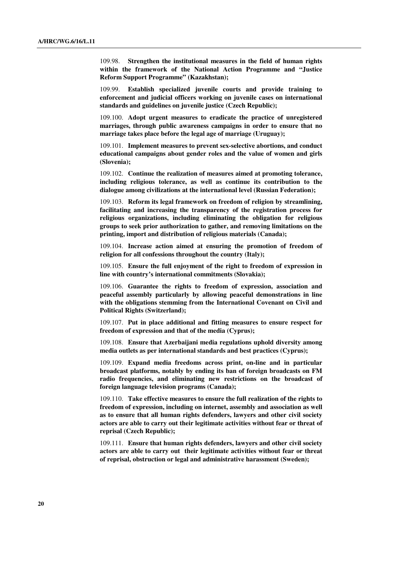109.98. **Strengthen the institutional measures in the field of human rights within the framework of the National Action Programme and "Justice Reform Support Programme" (Kazakhstan);** 

109.99. **Establish specialized juvenile courts and provide training to enforcement and judicial officers working on juvenile cases on international standards and guidelines on juvenile justice (Czech Republic);** 

109.100. **Adopt urgent measures to eradicate the practice of unregistered marriages, through public awareness campaigns in order to ensure that no marriage takes place before the legal age of marriage (Uruguay);** 

109.101. **Implement measures to prevent sex-selective abortions, and conduct educational campaigns about gender roles and the value of women and girls (Slovenia);** 

109.102. **Continue the realization of measures aimed at promoting tolerance, including religious tolerance, as well as continue its contribution to the dialogue among civilizations at the international level (Russian Federation);** 

109.103. **Reform its legal framework on freedom of religion by streamlining, facilitating and increasing the transparency of the registration process for religious organizations, including eliminating the obligation for religious groups to seek prior authorization to gather, and removing limitations on the printing, import and distribution of religious materials (Canada);** 

109.104. **Increase action aimed at ensuring the promotion of freedom of religion for all confessions throughout the country (Italy);** 

109.105. **Ensure the full enjoyment of the right to freedom of expression in line with country's international commitments (Slovakia);** 

109.106. **Guarantee the rights to freedom of expression, association and peaceful assembly particularly by allowing peaceful demonstrations in line with the obligations stemming from the International Covenant on Civil and Political Rights (Switzerland);** 

109.107. **Put in place additional and fitting measures to ensure respect for freedom of expression and that of the media (Cyprus);** 

109.108. **Ensure that Azerbaijani media regulations uphold diversity among media outlets as per international standards and best practices (Cyprus);** 

109.109. **Expand media freedoms across print, on-line and in particular broadcast platforms, notably by ending its ban of foreign broadcasts on FM radio frequencies, and eliminating new restrictions on the broadcast of foreign language television programs (Canada);** 

109.110. **Take effective measures to ensure the full realization of the rights to freedom of expression, including on internet, assembly and association as well as to ensure that all human rights defenders, lawyers and other civil society actors are able to carry out their legitimate activities without fear or threat of reprisal (Czech Republic);** 

109.111. **Ensure that human rights defenders, lawyers and other civil society actors are able to carry out their legitimate activities without fear or threat of reprisal, obstruction or legal and administrative harassment (Sweden);**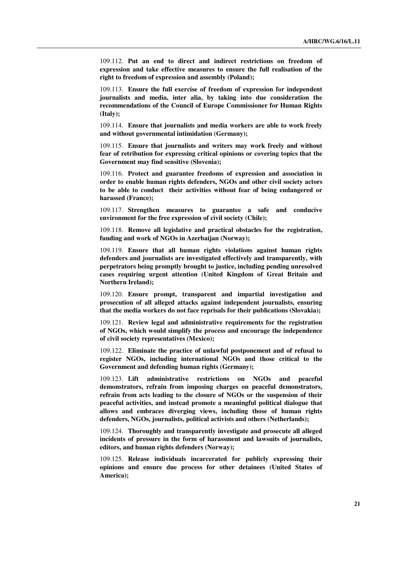109.112. **Put an end to direct and indirect restrictions on freedom of expression and take effective measures to ensure the full realisation of the right to freedom of expression and assembly (Poland);** 

109.113. **Ensure the full exercise of freedom of expression for independent journalists and media, inter alia, by taking into due consideration the recommendations of the Council of Europe Commissioner for Human Rights (Italy);** 

109.114. **Ensure that journalists and media workers are able to work freely and without governmental intimidation (Germany);** 

109.115. **Ensure that journalists and writers may work freely and without fear of retribution for expressing critical opinions or covering topics that the Government may find sensitive (Slovenia);** 

109.116. **Protect and guarantee freedoms of expression and association in order to enable human rights defenders, NGOs and other civil society actors to be able to conduct their activities without fear of being endangered or harassed (France);** 

109.117. **Strengthen measures to guarantee a safe and conducive environment for the free expression of civil society (Chile);** 

109.118. **Remove all legislative and practical obstacles for the registration, funding and work of NGOs in Azerbaijan (Norway);** 

109.119. **Ensure that all human rights violations against human rights defenders and journalists are investigated effectively and transparently, with perpetrators being promptly brought to justice, including pending unresolved cases requiring urgent attention (United Kingdom of Great Britain and Northern Ireland);** 

109.120. **Ensure prompt, transparent and impartial investigation and prosecution of all alleged attacks against independent journalists, ensuring that the media workers do not face reprisals for their publications (Slovakia);** 

109.121. **Review legal and administrative requirements for the registration of NGOs, which would simplify the process and encourage the independence of civil society representatives (Mexico);** 

109.122. **Eliminate the practice of unlawful postponement and of refusal to register NGOs, including international NGOs and those critical to the Government and defending human rights (Germany);** 

109.123. **Lift administrative restrictions on NGOs and peaceful demonstrators, refrain from imposing charges on peaceful demonstrators, refrain from acts leading to the closure of NGOs or the suspension of their peaceful activities, and instead promote a meaningful political dialogue that allows and embraces diverging views, including those of human rights defenders, NGOs, journalists, political activists and others (Netherlands);** 

109.124. **Thoroughly and transparently investigate and prosecute all alleged incidents of pressure in the form of harassment and lawsuits of journalists, editors, and human rights defenders (Norway);** 

109.125. **Release individuals incarcerated for publicly expressing their opinions and ensure due process for other detainees (United States of America);**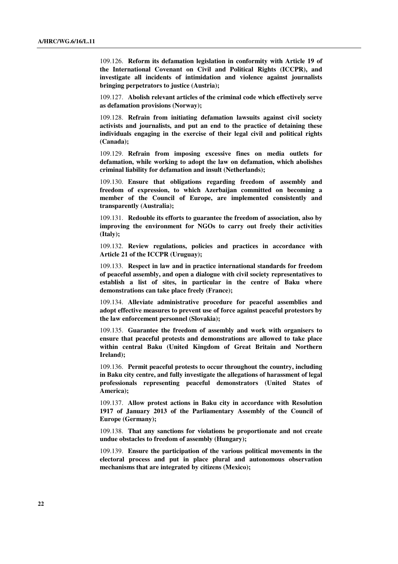109.126. **Reform its defamation legislation in conformity with Article 19 of the International Covenant on Civil and Political Rights (ICCPR), and investigate all incidents of intimidation and violence against journalists bringing perpetrators to justice (Austria);** 

109.127. **Abolish relevant articles of the criminal code which effectively serve as defamation provisions (Norway);** 

109.128. **Refrain from initiating defamation lawsuits against civil society activists and journalists, and put an end to the practice of detaining these individuals engaging in the exercise of their legal civil and political rights (Canada);** 

109.129. **Refrain from imposing excessive fines on media outlets for defamation, while working to adopt the law on defamation, which abolishes criminal liability for defamation and insult (Netherlands);** 

109.130. **Ensure that obligations regarding freedom of assembly and freedom of expression, to which Azerbaijan committed on becoming a member of the Council of Europe, are implemented consistently and transparently (Australia);** 

109.131. **Redouble its efforts to guarantee the freedom of association, also by improving the environment for NGOs to carry out freely their activities (Italy);** 

109.132. **Review regulations, policies and practices in accordance with Article 21 of the ICCPR (Uruguay);** 

109.133. **Respect in law and in practice international standards for freedom of peaceful assembly, and open a dialogue with civil society representatives to establish a list of sites, in particular in the centre of Baku where demonstrations can take place freely (France);** 

109.134. **Alleviate administrative procedure for peaceful assemblies and adopt effective measures to prevent use of force against peaceful protestors by the law enforcement personnel (Slovakia);** 

109.135. **Guarantee the freedom of assembly and work with organisers to ensure that peaceful protests and demonstrations are allowed to take place within central Baku (United Kingdom of Great Britain and Northern Ireland);** 

109.136. **Permit peaceful protests to occur throughout the country, including in Baku city centre, and fully investigate the allegations of harassment of legal professionals representing peaceful demonstrators (United States of America);** 

109.137. **Allow protest actions in Baku city in accordance with Resolution 1917 of January 2013 of the Parliamentary Assembly of the Council of Europe (Germany);** 

109.138. **That any sanctions for violations be proportionate and not create undue obstacles to freedom of assembly (Hungary);** 

109.139. **Ensure the participation of the various political movements in the electoral process and put in place plural and autonomous observation mechanisms that are integrated by citizens (Mexico);**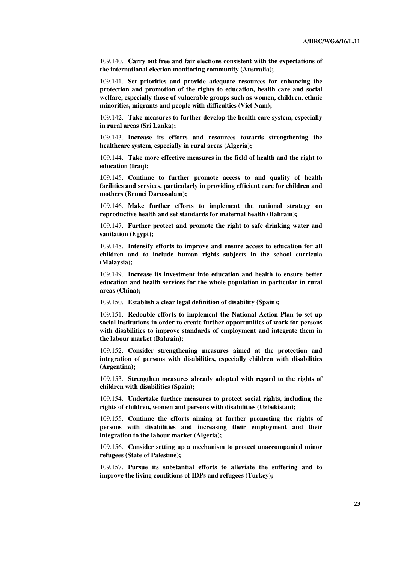109.140. **Carry out free and fair elections consistent with the expectations of the international election monitoring community (Australia);** 

109.141. **Set priorities and provide adequate resources for enhancing the protection and promotion of the rights to education, health care and social welfare, especially those of vulnerable groups such as women, children, ethnic minorities, migrants and people with difficulties (Viet Nam);** 

109.142. **Take measures to further develop the health care system, especially in rural areas (Sri Lanka);** 

109.143. **Increase its efforts and resources towards strengthening the healthcare system, especially in rural areas (Algeria);** 

109.144. **Take more effective measures in the field of health and the right to education (Iraq);** 

**1**09.145. **Continue to further promote access to and quality of health facilities and services, particularly in providing efficient care for children and mothers (Brunei Darussalam);** 

109.146. **Make further efforts to implement the national strategy on reproductive health and set standards for maternal health (Bahrain);** 

109.147. **Further protect and promote the right to safe drinking water and sanitation (Egypt);** 

109.148. **Intensify efforts to improve and ensure access to education for all children and to include human rights subjects in the school curricula (Malaysia);** 

109.149. **Increase its investment into education and health to ensure better education and health services for the whole population in particular in rural areas (China);** 

109.150. **Establish a clear legal definition of disability (Spain);** 

109.151. **Redouble efforts to implement the National Action Plan to set up social institutions in order to create further opportunities of work for persons with disabilities to improve standards of employment and integrate them in the labour market (Bahrain);** 

109.152. **Consider strengthening measures aimed at the protection and integration of persons with disabilities, especially children with disabilities (Argentina);** 

109.153. **Strengthen measures already adopted with regard to the rights of children with disabilities (Spain);** 

109.154. **Undertake further measures to protect social rights, including the rights of children, women and persons with disabilities (Uzbekistan);** 

109.155. **Continue the efforts aiming at further promoting the rights of persons with disabilities and increasing their employment and their integration to the labour market (Algeria);** 

109.156. **Consider setting up a mechanism to protect unaccompanied minor refugees (State of Palestine);** 

109.157. **Pursue its substantial efforts to alleviate the suffering and to improve the living conditions of IDPs and refugees (Turkey);**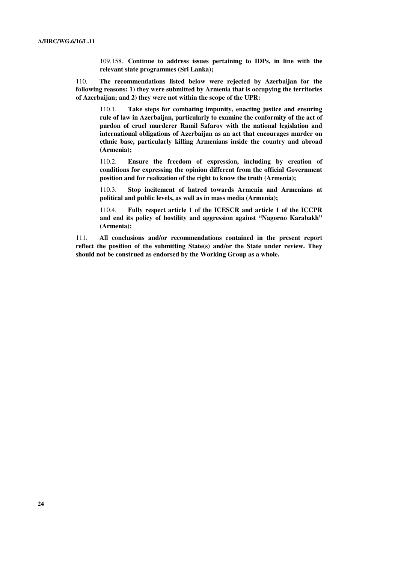109.158. **Continue to address issues pertaining to IDPs, in line with the relevant state programmes (Sri Lanka);**

110. **The recommendations listed below were rejected by Azerbaijan for the following reasons: 1) they were submitted by Armenia that is occupying the territories of Azerbaijan; and 2) they were not within the scope of the UPR:** 

110.1. **Take steps for combating impunity, enacting justice and ensuring rule of law in Azerbaijan, particularly to examine the conformity of the act of pardon of cruel murderer Ramil Safarov with the national legislation and international obligations of Azerbaijan as an act that encourages murder on ethnic base, particularly killing Armenians inside the country and abroad (Armenia);** 

110.2. **Ensure the freedom of expression, including by creation of conditions for expressing the opinion different from the official Government position and for realization of the right to know the truth (Armenia);** 

110.3. **Stop incitement of hatred towards Armenia and Armenians at political and public levels, as well as in mass media (Armenia);** 

110.4. **Fully respect article 1 of the ICESCR and article 1 of the ICCPR and end its policy of hostility and aggression against "Nagorno Karabakh" (Armenia);**

111. **All conclusions and/or recommendations contained in the present report reflect the position of the submitting State(s) and/or the State under review. They should not be construed as endorsed by the Working Group as a whole.**